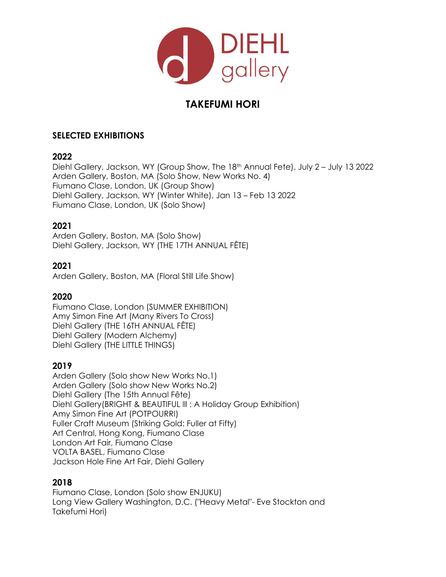

# **TAKEFUMI HORI**

## **SELECTED EXHIBITIONS**

#### **2022**

Diehl Gallery, Jackson, WY (Group Show, The 18th Annual Fete), July 2 – July 13 2022 Arden Gallery, Boston, MA (Solo Show, New Works No. 4) Fiumano Clase, London, UK (Group Show) Diehl Gallery, Jackson, WY (Winter White), Jan 13 – Feb 13 2022 Fiumano Clase, London, UK (Solo Show)

### **2021**

Arden Gallery, Boston, MA (Solo Show) Diehl Gallery, Jackson, WY (THE 17TH ANNUAL FÊTE)

# **2021**

Arden Gallery, Boston, MA (Floral Still Life Show)

### **2020**

Fiumano Clase, London (SUMMER EXHIBITION) Amy Simon Fine Art (Many Rivers To Cross) Diehl Gallery (THE 16TH ANNUAL FÊTE) Diehl Gallery (Modern Alchemy) Diehl Gallery (THE LITTLE THINGS)

### **2019**

Arden Gallery (Solo show New Works No.1) Arden Gallery (Solo show New Works No.2) Diehl Gallery (The 15th Annual Fête) Diehl Gallery(BRIGHT & BEAUTIFUL III : A Holiday Group Exhibition) Amy Simon Fine Art (POTPOURRI) Fuller Craft Museum (Striking Gold: Fuller at Fifty) Art Central, Hong Kong, Fiumano Clase London Art Fair, Fiumano Clase VOLTA BASEL, Fiumano Clase Jackson Hole Fine Art Fair, Diehl Gallery

### **2018**

Fiumano Clase, London (Solo show ENJUKU) Long View Gallery Washington, D.C. ("Heavy Metal"- Eve Stockton and Takefumi Hori)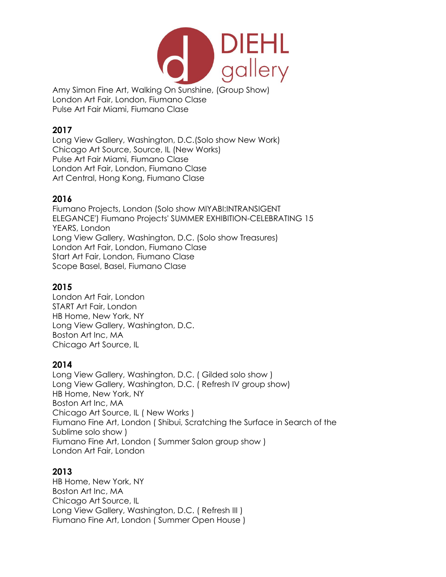

Amy Simon Fine Art, Walking On Sunshine, (Group Show) London Art Fair, London, Fiumano Clase Pulse Art Fair Miami, Fiumano Clase

### **2017**

Long View Gallery, Washington, D.C.(Solo show New Work) Chicago Art Source, Source, IL (New Works) Pulse Art Fair Miami, Fiumano Clase London Art Fair, London, Fiumano Clase Art Central, Hong Kong, Fiumano Clase

### **2016**

Fiumano Projects, London (Solo show MIYABI:INTRANSIGENT ELEGANCE') Fiumano Projects' SUMMER EXHIBITION-CELEBRATING 15 YEARS, London Long View Gallery, Washington, D.C. (Solo show Treasures) London Art Fair, London, Fiumano Clase Start Art Fair, London, Fiumano Clase Scope Basel, Basel, Fiumano Clase

# **2015**

London Art Fair, London START Art Fair, London HB Home, New York, NY Long View Gallery, Washington, D.C. Boston Art Inc, MA Chicago Art Source, IL

### **2014**

Long View Gallery, Washington, D.C. ( Gilded solo show ) Long View Gallery, Washington, D.C. ( Refresh IV group show) HB Home, New York, NY Boston Art Inc, MA Chicago Art Source, IL ( New Works ) Fiumano Fine Art, London ( Shibui, Scratching the Surface in Search of the Sublime solo show ) Fiumano Fine Art, London ( Summer Salon group show ) London Art Fair, London

### **2013**

HB Home, New York, NY Boston Art Inc, MA Chicago Art Source, IL Long View Gallery, Washington, D.C. (Refresh III) Fiumano Fine Art, London ( Summer Open House )